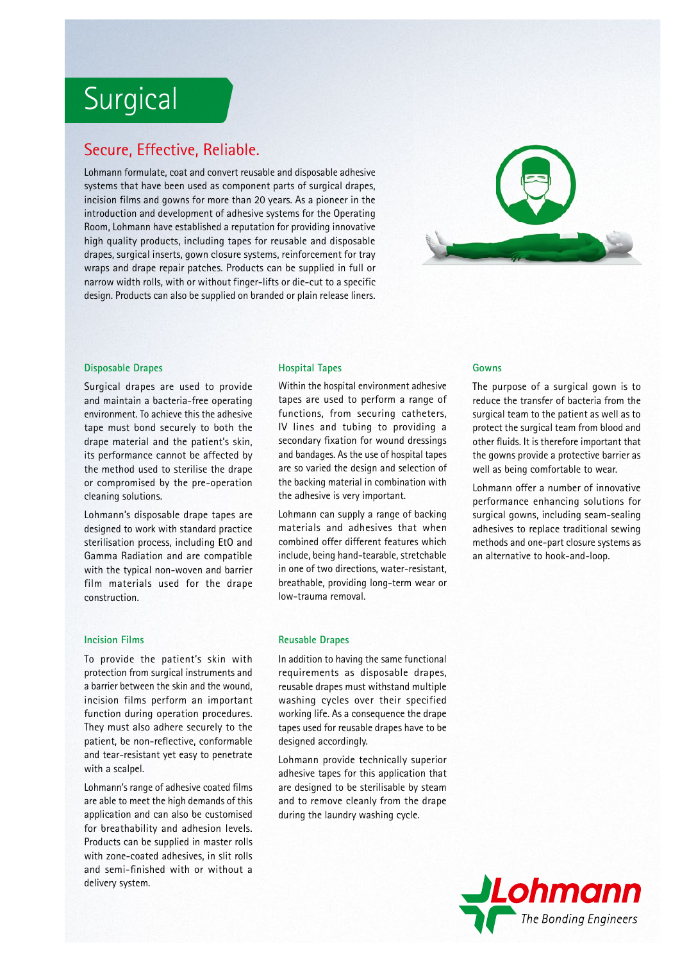## **Surgical**

## Secure, Effective, Reliable.

Lohmann formulate, coat and convert reusable and disposable adhesive systems that have been used as component parts of surgical drapes, incision films and gowns for more than 20 years. As a pioneer in the introduction and development of adhesive systems for the Operating Room, Lohmann have established a reputation for providing innovative high quality products, including tapes for reusable and disposable drapes, surgical inserts, gown closure systems, reinforcement for tray wraps and drape repair patches. Products can be supplied in full or narrow width rolls, with or without finger-lifts or die-cut to a specific design. Products can also be supplied on branded or plain release liners.



#### **Disposable Drapes**

Surgical drapes are used to provide and maintain a bacteria-free operating environment. To achieve this the adhesive tape must bond securely to both the drape material and the patient's skin, its performance cannot be affected by the method used to sterilise the drape or compromised by the pre-operation cleaning solutions.

Lohmann's disposable drape tapes are designed to work with standard practice sterilisation process, including EtO and Gamma Radiation and are compatible with the typical non-woven and barrier film materials used for the drape construction.

#### **Incision Films**

To provide the patient's skin with protection from surgical instruments and a barrier between the skin and the wound, incision films perform an important function during operation procedures. They must also adhere securely to the patient, be non-reflective, conformable and tear-resistant yet easy to penetrate with a scalpel.

Lohmann's range of adhesive coated films are able to meet the high demands of this application and can also be customised for breathability and adhesion levels. Products can be supplied in master rolls with zone-coated adhesives, in slit rolls and semi-finished with or without a delivery system.

#### **Hospital Tapes**

Within the hospital environment adhesive tapes are used to perform a range of functions, from securing catheters, IV lines and tubing to providing a secondary fixation for wound dressings and bandages. As the use of hospital tapes are so varied the design and selection of the backing material in combination with the adhesive is very important.

Lohmann can supply a range of backing materials and adhesives that when combined offer different features which include, being hand-tearable, stretchable in one of two directions, water-resistant, breathable, providing long-term wear or low-trauma removal.

#### **Reusable Drapes**

In addition to having the same functional requirements as disposable drapes, reusable drapes must withstand multiple washing cycles over their specified working life. As a consequence the drape tapes used for reusable drapes have to be designed accordingly.

Lohmann provide technically superior adhesive tapes for this application that are designed to be sterilisable by steam and to remove cleanly from the drape during the laundry washing cycle.

#### **Gowns**

The purpose of a surgical gown is to reduce the transfer of bacteria from the surgical team to the patient as well as to protect the surgical team from blood and other fluids. It is therefore important that the gowns provide a protective barrier as well as being comfortable to wear.

Lohmann offer a number of innovative performance enhancing solutions for surgical gowns, including seam-sealing adhesives to replace traditional sewing methods and one-part closure systems as an alternative to hook-and-loop.